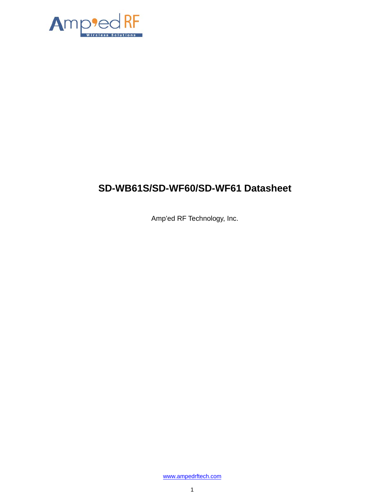

# **SD-WB61S/SD-WF60/SD-WF61 Datasheet**

Amp'ed RF Technology, Inc.

[www.ampedrftech.com](http://www.ampedrftech.com/)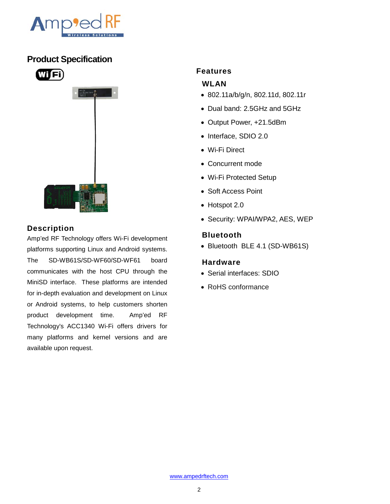

### **Product Specification**





### **Description**

Amp'ed RF Technology offers Wi-Fi development platforms supporting Linux and Android systems. The SD-WB61S/SD-WF60/SD-WF61 board communicates with the host CPU through the MiniSD interface. These platforms are intended for in-depth evaluation and development on Linux or Android systems, to help customers shorten product development time. Amp'ed RF Technology's ACC1340 Wi-Fi offers drivers for many platforms and kernel versions and are available upon request.

#### **Features**

#### **WLAN**

- 802.11a/b/g/n, 802.11d, 802.11r
- Dual band: 2.5GHz and 5GHz
- Output Power, +21.5dBm
- Interface, SDIO 2.0
- Wi-Fi Direct
- Concurrent mode
- Wi-Fi Protected Setup
- Soft Access Point
- Hotspot 2.0
- Security: WPAI/WPA2, AES, WEP

#### **Bluetooth**

• Bluetooth BLE 4.1 (SD-WB61S)

#### **Hardware**

- Serial interfaces: SDIO
- RoHS conformance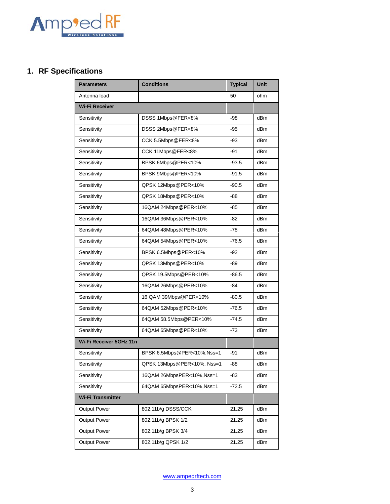

# **1. RF Specifications**

| <b>Parameters</b>        | <b>Conditions</b>           | <b>Typical</b> | <b>Unit</b>     |  |  |
|--------------------------|-----------------------------|----------------|-----------------|--|--|
| Antenna load             |                             | 50             | ohm             |  |  |
| <b>Wi-Fi Receiver</b>    |                             |                |                 |  |  |
| Sensitivity              | DSSS 1Mbps@FER<8%           | -98            | dBm             |  |  |
| Sensitivity              | DSSS 2Mbps@FER<8%           | $-95$          | dBm             |  |  |
| Sensitivity              | CCK 5.5Mbps@FER<8%          | -93            | dBm             |  |  |
| Sensitivity              | CCK 11Mbps@FER<8%           | -91            | dBm             |  |  |
| Sensitivity              | BPSK 6Mbps@PER<10%          | $-93.5$        | dBm             |  |  |
| Sensitivity              | BPSK 9Mbps@PER<10%          | $-91.5$        | dB <sub>m</sub> |  |  |
| Sensitivity              | QPSK 12Mbps@PER<10%         | -90.5          | dBm             |  |  |
| Sensitivity              | QPSK 18Mbps@PER<10%         | -88            | dBm             |  |  |
| Sensitivity              | 16QAM 24Mbps@PER<10%        | $-85$          | dBm             |  |  |
| Sensitivity              | 16QAM 36Mbps@PER<10%        | -82            | dBm             |  |  |
| Sensitivity              | 64QAM 48Mbps@PER<10%        | -78            | dBm             |  |  |
| Sensitivity              | 64QAM 54Mbps@PER<10%        | $-76.5$        | dBm             |  |  |
| Sensitivity              | BPSK 6.5Mbps@PER<10%        | $-92$          | dBm             |  |  |
| Sensitivity              | QPSK 13Mbps@PER<10%         | -89            | dBm             |  |  |
| Sensitivity              | QPSK 19.5Mbps@PER<10%       | $-86.5$        | dBm             |  |  |
| Sensitivity              | 16QAM 26Mbps@PER<10%        | -84            | dBm             |  |  |
| Sensitivity              | 16 QAM 39Mbps@PER<10%       | $-80.5$        | dBm             |  |  |
| Sensitivity              | 64QAM 52Mbps@PER<10%        | $-76.5$        | dBm             |  |  |
| Sensitivity              | 64QAM 58.5Mbps@PER<10%      | $-74.5$        | dB <sub>m</sub> |  |  |
| Sensitivity              | 64QAM 65Mbps@PER<10%        | -73            | dBm             |  |  |
| Wi-Fi Receiver 5GHz 11n  |                             |                |                 |  |  |
| Sensitivity              | BPSK 6.5Mbps@PER<10%,Nss=1  | -91            | dBm             |  |  |
| Sensitivity              | QPSK 13Mbps@PER<10%, Nss=1  | -88            | dBm             |  |  |
| Sensitivity              | 16QAM 26MbpsPER<10%, Nss=1  | -83            | dBm             |  |  |
| Sensitivity              | 64QAM 65MbpsPER<10%,Nss=1   | -72.5          | dBm             |  |  |
| <b>Wi-Fi Transmitter</b> |                             |                |                 |  |  |
| <b>Output Power</b>      | 802.11b/g DSSS/CCK          | 21.25          | dBm             |  |  |
| <b>Output Power</b>      | 802.11b/g BPSK 1/2          | 21.25          | dBm             |  |  |
| <b>Output Power</b>      | 802.11b/g BPSK 3/4          | 21.25          | dBm             |  |  |
| <b>Output Power</b>      | 802.11b/g QPSK 1/2<br>21.25 |                | dBm             |  |  |

[www.ampedrftech.com](http://www.ampedrftech.com/)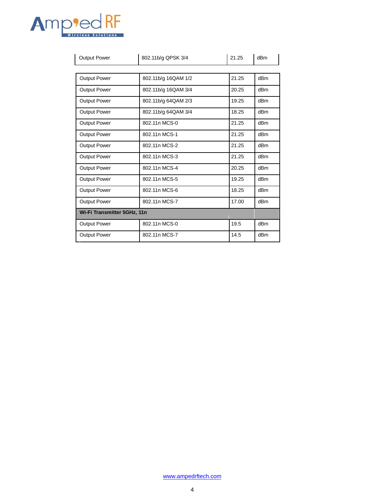

| <b>Output Power</b>         | 802.11b/g QPSK 3/4           | 21.25 | dB <sub>m</sub> |
|-----------------------------|------------------------------|-------|-----------------|
|                             |                              |       |                 |
| <b>Output Power</b>         | 802.11b/g 16QAM 1/2          | 21.25 | dB <sub>m</sub> |
| <b>Output Power</b>         | 802.11b/g 16QAM 3/4<br>20.25 |       | dB <sub>m</sub> |
| <b>Output Power</b>         | 802.11b/g 64QAM 2/3          | 19.25 | dB <sub>m</sub> |
| <b>Output Power</b>         | 802.11b/g 64QAM 3/4          | 18.25 | dB <sub>m</sub> |
| <b>Output Power</b>         | 802.11n MCS-0                | 21.25 | dB <sub>m</sub> |
| Output Power                | 802.11n MCS-1                | 21.25 | dB <sub>m</sub> |
| <b>Output Power</b>         | 802.11n MCS-2                | 21.25 | dB <sub>m</sub> |
| <b>Output Power</b>         | 802.11n MCS-3                | 21.25 | dB <sub>m</sub> |
| <b>Output Power</b>         | 802.11n MCS-4                | 20.25 | dB <sub>m</sub> |
| Output Power                | 802.11n MCS-5                | 19.25 | dB <sub>m</sub> |
| Output Power                | 802.11n MCS-6<br>18.25       |       | dB <sub>m</sub> |
| Output Power                | 802.11n MCS-7<br>17.00       |       | dB <sub>m</sub> |
| Wi-Fi Transmitter 5GHz, 11n |                              |       |                 |
| <b>Output Power</b>         | 19.5<br>802.11n MCS-0        |       | dB <sub>m</sub> |
| <b>Output Power</b>         | 802.11n MCS-7<br>14.5        |       | dBm             |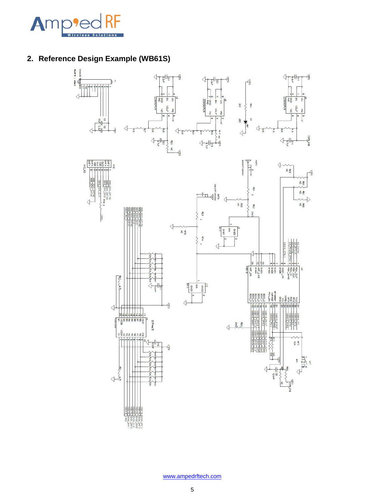

## **2. Reference Design Example (WB61S)**

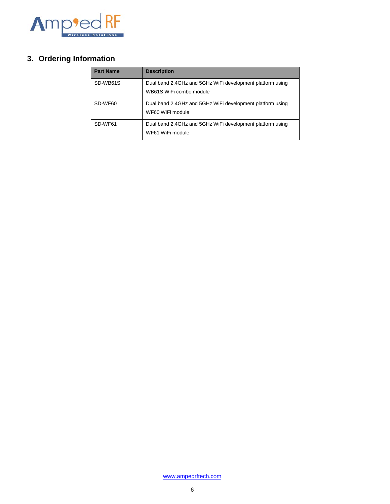

## **3. Ordering Information**

| <b>Part Name</b> | <b>Description</b>                                                                   |  |
|------------------|--------------------------------------------------------------------------------------|--|
| SD-WB61S         | Dual band 2.4GHz and 5GHz WiFi development platform using<br>WB61S WiFi combo module |  |
| SD-WF60          | Dual band 2.4GHz and 5GHz WiFi development platform using<br>WF60 WiFi module        |  |
| SD-WF61          | Dual band 2.4GHz and 5GHz WiFi development platform using<br>WF61 WiFi module        |  |